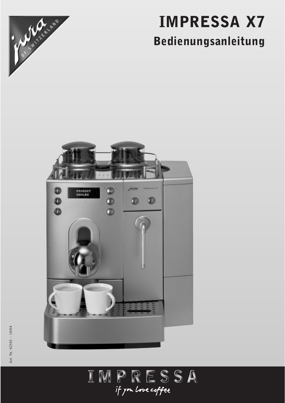

# IMPRESSA X7 Bedienungsanleitung



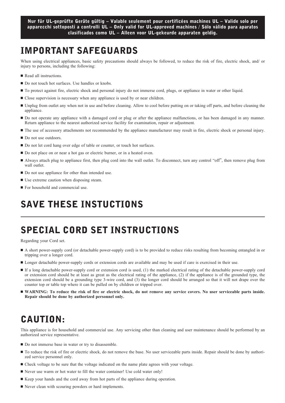# IMPORTANT SAFEGUARDS

When using electrical appliances, basic safety precautions should always be followed, to reduce the risk of fire, electric shock, and/ or injury to persons, including the following:

- Read all instructions.
- Do not touch hot surfaces. Use handles or knobs.
- To protect against fire, electric shock and personal injury do not immerse cord, plugs, or appliance in water or other liquid.
- **Close supervision is necessary when any appliance is used by or near children.**
- Unplug from outlet any when not in use and before cleaning. Allow to cool before putting on or taking off parts, and before cleaning the appliance.
- Do not operate any appliance with a damaged cord or plug or after the appliance malfunctions, or has been damaged in any manner. Return appliance to the nearest authorized service facility for examination, repair or adjustment.
- The use of accessory attachments not recommended by the appliance manufacturer may result in fire, electric shock or personal injury.
- lacktriangleright Do not use outdoors.
- Do not let cord hang over edge of table or counter, or touch hot surfaces.
- Do not place on or near a hot gas or electric burner, or in a heated oven.
- I Always attach plug to appliance first, then plug cord into the wall outlet. To disconnect, turn any control "off", then remove plug from wall outlet.
- $\blacksquare$  Do not use appliance for other than intended use.
- Use extreme caution when disposing steam.
- **For household and commercial use.**

# SAVE THESE INSTUCTIONS

# SPECIAL CORD SET INSTRUCTIONS

Regarding your Cord set.

- A short power-supply cord (or detachable power-supply cord) is to be provided to reduce risks resulting from becoming entangled in or tripping over a longer cord.
- Longer detachable power-supply cords or extension cords are available and may be used if care is exercised in their use.
- If a long detachable power-supply cord or extension cord is used, (1) the marked electrical rating of the detachable power-supply cord or extension cord should be at least as great as the electrical rating of the appliance, (2) if the appliance is of the grounded type, the extension cord should be a grounding type 3-wire cord, and (3) the longer cord should be arranged so that it will not drape over the counter top or table top where it can be pulled on by children or tripped over.
- **WARNING:** To reduce the risk of fire or electric shock, do not remove any service covers. No user serviceable parts inside. **Repair should be done by authorized personnel only.**

# CAUTION:

This appliance is for household and commercial use. Any servicing other than cleaning and user maintenance should be performed by an authorized service representative.

- Do not immerse base in water or try to disassemble.
- - To reduce the risk of fire or electric shock, do not remove the base. No user serviceable parts inside. Repair should be done by authorized service personnel only.
- Check voltage to be sure that the voltage indicated on the name plate agrees with your voltage.
- Never use warm or hot water to fill the water container! Use cold water only!
- Keep your hands and the cord away from hot parts of the appliance during operation.
- Never clean with scouring powders or hard implements.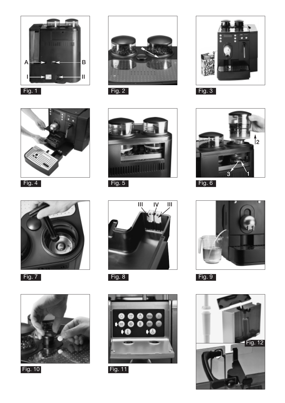



Fig. 4



Fig. 7



Fig. 10





Fig. 11









Fig. 9

Fig. 12

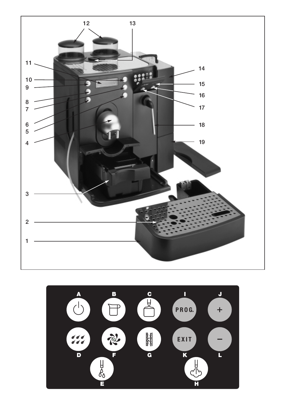

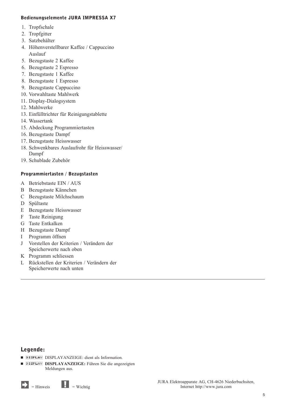# Bedienungselemente JURA IMPRESSA X7

- 1. Tropfschale
- 2. Tropfgitter
- 3. Satzbehälter
- 4. Höhenverstellbarer Kaffee / Cappuccino Auslauf
- 5. Bezugstaste 2 Kaffee
- 6. Bezugstaste 2 Espresso
- 7. Bezugstaste 1 Kaffee
- 8. Bezugstaste 1 Espresso
- 9. Bezugstaste Cappuccino
- 10. Vorwahltaste Mahlwerk
- 11. Display-Dialogsystem
- 12. Mahlwerke
- 13. Einfülltrichter für Reinigungstablette
- 14. Wassertank
- 15. Abdeckung Programmiertasten
- 16. Bezugstaste Dampf
- 17. Bezugstaste Heisswasser
- 18. Schwenkbares Auslaufrohr für Heisswasser/ Dampf
- 19. Schublade Zubehör

# Programmiertasten / Bezugstasten

- A Betriebstaste EIN / AUS
- B Bezugstaste Kännchen
- C Bezugstaste Milchschaum
- D Spültaste
- E Bezugstaste Heisswasser
- F Taste Reinigung
- G Taste Entkalken
- H Bezugstaste Dampf
- I Programm öffnen
- J Vorstellen der Kriterien / Verändern der Speicherwerte nach oben
- K Programm schliessen
- L Rückstellen der Kriterien / Verändern der Speicherwerte nach unten

# Legende:

- DISPLAY DISPLAYANZEIGE: dient als Information.
- **DISPLAY DISPLAYANZEIGE:** Führen Sie die angezeigten Meldungen aus.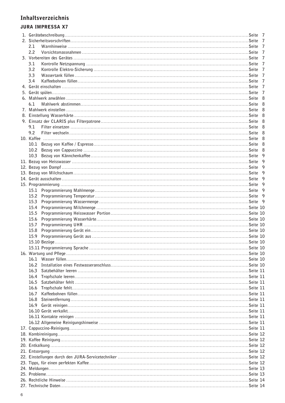# Inhaltsverzeichnis

# **JURA IMPRESSA X7**

| 2.1  |  |
|------|--|
| 2.2  |  |
|      |  |
| 3.1  |  |
| 3.2  |  |
| 3.3  |  |
|      |  |
| 3.4  |  |
|      |  |
|      |  |
|      |  |
| 6.1  |  |
|      |  |
|      |  |
|      |  |
|      |  |
| 9.1  |  |
| 9.2  |  |
|      |  |
|      |  |
| 10.2 |  |
| 10.3 |  |
|      |  |
|      |  |
|      |  |
|      |  |
|      |  |
|      |  |
|      |  |
|      |  |
|      |  |
|      |  |
|      |  |
| 15.5 |  |
|      |  |
| 15.7 |  |
| 15.8 |  |
|      |  |
|      |  |
|      |  |
|      |  |
|      |  |
| 16.1 |  |
|      |  |
| 16.3 |  |
|      |  |
| 16.5 |  |
| 16.6 |  |
| 16.7 |  |
| 16.8 |  |
|      |  |
|      |  |
|      |  |
|      |  |
|      |  |
|      |  |
|      |  |
|      |  |
|      |  |
|      |  |
|      |  |
|      |  |
|      |  |
|      |  |
|      |  |
|      |  |
|      |  |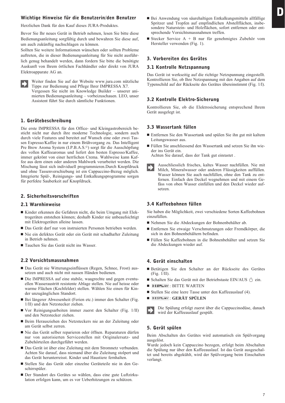# Wichtige Hinweise für die Benutzerin/den Benutzer

Herzlichen Dank für den Kauf dieses JURA-Produktes.

Bevor Sie Ihr neues Gerät in Betrieb nehmen, lesen Sie bitte diese Bedienungsanleitung sorgfältig durch und bewahren Sie diese auf, um auch zukünftig nachschlagen zu können.

Sollten Sie weitere Informationen wünschen oder sollten Probleme auftreten, die in dieser Bedienungsanleitung für Sie nicht ausführlich genug behandelt werden, dann fordern Sie bitte die benötigte Auskunft von Ihrem örtlichen Fachhändler oder direkt von JURA Elektroapparate AG an.



Weiter finden Sie auf der Website www.jura.com nützliche Tipps zur Bedienung und Pflege Ihrer IMPRESSA X7. Vergessen Sie nicht im Knowledge Builder – unserer animierten Bedienungsanleitung – vorbeizuschauen. LEO, unser Assistent führt Sie durch sämtliche Funktionen.

# 1. Gerätebeschreibung

Die erste IMPRESSA für den Office- und Kleingastrobereich besticht nicht nur durch ihre moderne Technologie, sondern auch durch viele Features und bereitet auf Wunsch eine oder zwei Tassen Espresso/Kaffee in nur einem Brühvorgang zu. Das Intelligent Pre Brew Aroma System (I.P.B.A.S.©) sorgt für die Ausschöpfung des vollen Kaffeearomas und liefert den besten Espresso/Kaffee, immer gekrönt von einer herrlichen Crema. Wahlweise kann Kaffee aus dem einen oder anderen Mahlwerk verarbeitet werden. Die Mischung lässt sich individuell programmieren.Durch Knopfdruck und ohne Tassenverschiebung ist ein Cappuccino-Bezug möglich. Integrierte Spül-, Reinigungs- und Entkalkungsprogramme sorgen für perfekte Sauberkeit auf Knopfdruck.

# 2. Sicherheitsvorschriften

#### 2.1 Warnhinweise

- Kinder erkennen die Gefahren nicht, die beim Umgang mit Elektrogeräten entstehen können; deshalb Kinder nie unbeaufsichtigt mit Elektrogeräten alleine lassen.
- Das Gerät darf nur von instruierten Personen betrieben werden.
- Nie ein defektes Gerät oder ein Gerät mit schadhafter Zuleitung in Betrieb nehmen.
- Tauchen Sie das Gerät nicht ins Wasser.

# 2.2 Vorsichtsmassnahmen

- Das Gerät nie Witterungseinflüssen (Regen, Schnee, Frost) aussetzen und auch nicht mit nassen Händen bedienen.
- Die IMPRESSA auf eine stabile, waagrechte und gegen eventuellen Wasseraustritt resistente Ablage stellen. Nie auf heisse oder warme Flächen (Kochfelder) stellen. Wählen Sie einen für Kinder unzugänglichen Standort.
- Bei längerer Abwesenheit (Ferien etc.) immer den Schalter (Fig. 1/II) und den Netzstecker ziehen.
- - Vor Reinigungsarbeiten immer zuerst den Schalter (Fig. 1/II) und den Netzstecker ziehen.
- Beim Herausziehen des Netzsteckers nie an der Zuleitung oder am Gerät selbst zerren.
- Nie das Gerät selber reparieren oder öffnen. Reparaturen dürfen nur von autorisierten Servicestellen mit Originalersatz- und Zubehörteilen durchgeführt werden.
- Das Gerät ist über eine Zuleitung mit dem Stromnetz verbunden. Achten Sie darauf, dass niemand über die Zuleitung stolpert und das Gerät herunterreisst. Kinder und Haustiere fernhalten.
- Stellen Sie das Gerät oder einzelne Geräteteile nie in den Geschirrspüler.
- Der Standort des Gerätes so wählen, dass eine gute Luftzirkulation erfolgen kann, um es vor Ueberhitzungen zu schützen.
- Bei Anwendung von säurehaltigen Entkalkungsmitteln allfällige Spritzer und Tropfen auf empfindlichen Abstellflächen, insbesondere Naturstein- und Holzflächen, sofort entfernen oder entsprechende Vorsichtsmassnahmen treffen.
- Stecker Service  $A + B$  nur für genehmigtes Zubehör vom Hersteller verwenden (Fig. 1).

# 3. Vorbereiten des Gerätes

#### 3.1 Kontrolle Netzspannung

Das Gerät ist werkseitig auf die richtige Netzspannung eingestellt. Kontrollieren Sie, ob Ihre Netzspannung mit den Angaben auf dem Typenschild auf der Rückseite des Gerätes übereinstimmt (Fig. 1/I).

# 3.2 Kontrolle Elektro-Sicherung

Kontrollieren Sie, ob die Elektrosicherung entsprechend Ihrem Gerät ausgelegt ist.

#### 3.3 Wassertank füllen

- Entfernen Sie den Wassertank und spülen Sie ihn gut mit kaltem Leitungswasser aus.
- Füllen Sie anschliessend den Wassertank und setzen Sie ihn wieder ins Gerät ein.

Achten Sie darauf, dass der Tank gut einrastet .

Ausschliesslich frisches, kaltes Wasser nachfüllen. Nie mit Milch, Mineralwasser oder anderen Flüssigkeiten auffüllen. Wasser können Sie auch nachfüllen, ohne den Tank zu entfernen. Einfach den Deckel wegnehmen und mit einem Gefäss von oben Wasser einfüllen und den Deckel wieder aufsetzen.

# 3.4 Kaffeebohnen füllen

Sie haben die Möglichkeit, zwei verschiedene Sorten Kaffeebohnen einzufüllen.

- Nehmen Sie die Abdeckungen der Bohnenbehälter ab.
- Entfernen Sie etwaige Verschmutzungen oder Fremdkörper, die sich in den Bohnenbehältern befinden.
- Füllen Sie Kaffeebohnen in die Bohnenbehälter und setzen Sie die Abdeckungen wieder auf.

#### 4. Gerät einschalten

- Betätigen Sie den Schalter an der Rückseite des Gerätes (Fig. 1/II).
- Schalten Sie das Gerät mit der Betriebstaste EIN/AUS  $\circlearrowright$  ein.
- $\blacksquare$  Display : BITTE WARTEN
- Stellen Sie eine leere Tasse unter den Kaffeeauslauf (4).
- **u** display: GERÄT SPÜLEN



Die Spülung erfolgt zuerst über die Cappuccinodüse, danach wird der Kaffeeauslauf gespült.

# 5. Gerät spülen

Beim Abschalten des Gerätes wird automatisch ein Spülvorgang ausgelöst.

Wurde jedoch kein Cappuccino bezogen, erfolgt beim Abschalten die Spülung nur über den Kaffeeauslauf. Ist das Gerät ausgeschaltet und bereits abgekühlt, wird der Spülvorgang beim Einschalten verlangt.

7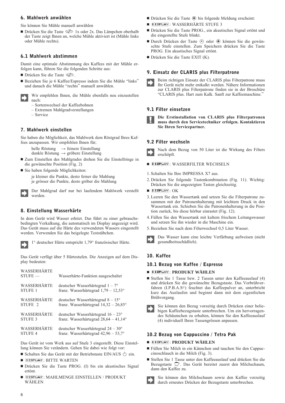# 6. Mahlwerk anwählen

Sie können Sie Mühle manuell anwählen

■ Drücken Sie die Taste < Ø 1x oder 2x. Das Lämpchen oberhalb der Taste zeigt Ihnen an, welche Mühle aktiviert ist (Mühle links oder Mühle rechts).

# 6.1 Mahlwerk abstimmen

Damit eine optimale Abstimmung des Kaffees mit der Mühle erfolgen kann, führen Sie die folgenden Schritte aus:

- **Drücken Sie die Taste**  $\langle \emptyset \rangle$ **.**
- Beziehen Sie je 6 Kaffee/Espresso indem Sie die Mühle "links" und danach die Mühle "rechts" manuell anwählen.

Wir empfehlen Ihnen, die Mühle ebenfalls neu einzustellen nach:

- Sortenwechsel der Kaffeebohnen
- Extremen Mahlgradverstellungen
- Service

# 7. Mahlwerk einstellen

Sie haben die Möglichkeit, das Mahlwerk dem Röstgrad Ihres Kaffees anzupassen. Wir empfehlen Ihnen für;

- helle Röstung  $\rightarrow$  feinere Einstellung dunkle Röstung  $\rightarrow$  gröbere Einstellung
- Zum Einstellen des Mahlgrades drehen Sie die Einstellringe in die gewünschte Position (Fig. 2)
- Sie haben folgende Möglichkeiten:

je kleiner die Punkte, desto feiner die Mahlung je grösser die Punkte, desto gröber die Mahlung

Der Mahlgrad darf nur bei laufendem Mahlwerk verstellt werden.

# 8. Einstellung Wasserhärte

In dem Gerät wird Wasser erhitzt. Das führt zu einer gebrauchsbedingten Verkalkung, die automatisch im Display angezeigt wird. Das Gerät muss auf die Härte des verwendeten Wassers eingestellt werden. Verwenden Sie das beigelegte Teststäbchen.

1° deutscher Härte entspricht 1,79° französischer Härte.

Das Gerät verfügt über 5 Härtestufen. Die Anzeigen auf dem Display bedeuten:

# WASSERHÄRTE

| $STUFE$ —      | Wasserhärte-Funktion ausgeschaltet             |
|----------------|------------------------------------------------|
| WASSERHÄRTE    | deutscher Wasserhärtegrad $1 - 7^{\circ}$      |
| <b>STUFE 1</b> | franz. Wasserhärtegrad $1,79 - 12,53^{\circ}$  |
| WASSERHÄRTE    | deutscher Wasserhärtegrad $8 - 15^{\circ}$     |
| STUFE 2        | franz. Wasserhärtegrad $14,32 - 26,85^{\circ}$ |
| WASSERHÄRTE    | deutscher Wasserhärtegrad $16 - 23^{\circ}$    |
| <b>STUFE 3</b> | franz. Wasserhärtegrad $28,64 - 41,14^{\circ}$ |
| WASSERHÄRTE    | deutscher Wasserhärtegrad $24 - 30^{\circ}$    |
| <b>STUFE 4</b> | franz. Wasserhärtegrad $42,96 - 53,7^{\circ}$  |

Das Gerät ist vom Werk aus auf Stufe 3 eingestellt. Diese Einstellung können Sie verändern. Gehen Sie dabei wie folgt vor:

- Schalten Sie das Gerät mit der Betriebstaste EIN/AUS  $\Diamond$  ein.
- $\blacksquare$  DISPLAY : BITTE WARTEN
- Drücken Sie die Taste PROG. (I) bis ein akustisches Signal ertönt.
- **DISPLAY: MAHLMENGE EINSTELLEN / PRODUKT** WÄHLEN
- Drücken Sie die Taste ⊕ bis folgende Meldung erscheint:
- DISPLAY: WASSERHÄRTE STUFE 3
- Drücken Sie die Taste PROG., ein akustisches Signal ertönt und die eingestellte Stufe blinkt.
- Durch Drücken der Taste ⊙ oder ⊕ können Sie die gewünschte Stufe einstellen. Zum Speichern drücken Sie die Taste PROG. Ein akustisches Signal ertönt.
- Drücken Sie die Taste EXIT (K).

# 9. Einsatz der CLARIS plus Filterpatrone

Beim richtigen Einsatz der CLARIS plus Filterpatrone muss Ihr Gerät nicht mehr entkalkt werden. Nähere Informationen zur CLARIS plus Filterpatrone finden sie in der Broschüre "CLARIS plus. Hart zum Kalk. Sanft zur Kaffeemaschine."

#### 9.1 Filter einsetzen

**Die Erstinstallation von CLARIS plus Filterpatronen muss durch den Servicetechniker erfolgen. Kontaktieren Sie Ihren Servicepartner.**

# 9.2 Filter wechseln

Nach dem Bezug von 50 Liter ist die Wirkung des Filters erschöpft.

- **DISPLAY: WASSERFILTER WECHSELN**
- 1. Schalten Sie Ihre IMPRESSA X7 aus.
- 2. Drücken Sie folgende Tastenkombination (Fig. 11). Wichtig: Drücken Sie die angezeigten Tasten gleichzeitig.
- $\blacksquare$  DISPLAY  $:$   $\rm OK$
- 3. Leeren Sie den Wassertank und setzen Sie die Filterpatrone zusammen mit der Patronenhalterung mit leichtem Druck in den Wassertank ein. Schieben Sie die Patronenhalterung in die Position zurück, bis diese hörbar einrastet (Fig. 12).
- 4. Füllen Sie den Wassertank mit kaltem frischem Leitungswasser und setzen Sie ihn wieder in die Maschine ein.
- 5. Beziehen Sie nach dem Filterwechsel 0,5 Liter Wasser.



Das Wasser kann eine leichte Verfärbung aufweisen (nicht gesundheitsschädlich).

# 10. Kaffee

#### 10.1 Bezug von Kaffee / Espresso

#### **= DISPLAY : PRODUKT WÄHLEN**

Stellen Sie 1 Tasse bzw. 2 Tassen unter den Kaffeeauslauf (4) und drücken Sie die gewünschte Bezugstaste. Das Vorbrühverfahren (I.P.B.A.S©) feuchtet das Kaffeepulver an, unterbricht kurz das Auslaufen und beginnt dann mit dem eigentlichen Brühvorgang.



# 10.2 Bezug von Cappuccino / Tetra Pak

#### $\blacksquare$  **DISPLAY : PRODUKT WÄHLEN**

- Füllen Sie Milch in ein Kännchen und tauchen Sie den Cappuccinoschlauch in die Milch (Fig. 3).
- Stellen Sie 1 Tasse unter den Kaffeeauslauf und drücken Sie die Bezugstaste  $\mathbb{D}$ . Das Gerät bereitet zuerst den Milchschaum, dann den Kaffee zu.
	- Sie können den Milchschaum sowie den Kaffee vorzeitig durch erneutes Drücken der Bezugstaste unterbrechen.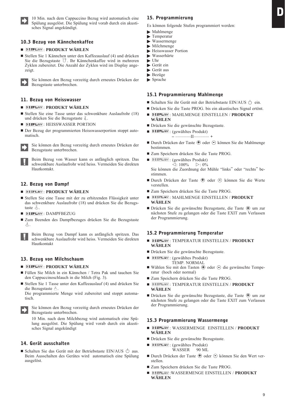10 Min. nach dem Cappuccino Bezug wird automatisch eine Spülung ausgelöst. Die Spülung wird vorab durch ein akustisches Signal angekündigt.

# 10.3 Bezug von Kännchenkaffee

#### $\blacksquare$  DISPLAY : PRODUKT WÄHLEN

■ Stellen Sie 1 Kännchen unter den Kaffeeauslauf (4) und drücken Sie die Bezugstaste  $\Box$ . Ihr Kännchenkaffee wird in mehreren Zyklen zubereitet. Die Anzahl der Zyklen wird im Display angezeigt.

Sie können den Bezug vorzeitig durch erneutes Drücken der Bezugstaste unterbrechen.

# 11. Bezug von Heisswasser

# **m** display: PRODUKT WÄHLEN

- Stellen Sie eine Tasse unter das schwenkbare Auslaufrohr (18) und drücken Sie die Bezugstaste  $\frac{1}{6}$ .
- **DISPLAY**: HEISSWASSER PORTION
- Der Bezug der programmierten Heisswasserportion stoppt automatisch.

Sie können den Bezug vorzeitig durch erneutes Drücken der Bezugstaste unterbrechen.

Beim Bezug von Wasser kann es anfänglich spritzen. Das schwenkbare Auslaufrohr wird heiss. Vermeiden Sie direkten Hautkontakt.

# 12. Bezug von Dampf

#### **= DISPLAY: PRODUKT WÄHLEN**

- Stellen Sie eine Tasse mit der zu erhitzenden Flüssigkeit unter das schwenkbare Auslaufrohr (18) und drücken Sie die Bezugstaste &
- $\blacksquare$  DISPLAY :  $D$ AMPFBEZUG
- Zum Beenden des Dampfbezuges drücken Sie die Bezugstaste  $\mathbb{P}^2$

Beim Bezug von Dampf kann es anfänglich spritzen. Das schwenkbare Auslaufrohr wird heiss. Vermeiden Sie direkten Hautkontakt

# 13. Bezug von Milchschaum

#### **m** display : PRODUKT WÄHLEN

- Füllen Sie Milch in ein Kännchen / Tetra Pak und tauchen Sie den Cappuccinoschlauch in die Milch (Fig. 3).
- Stellen Sie 1 Tasse unter den Kaffeeauslauf (4) und drücken Sie die Bezugstaste &.

Die programmierte Menge wird zubereitet und stoppt automatisch.



Sie können den Bezug vorzeitig durch erneutes Drücken der Bezugstaste unterbrechen.

10 Min. nach dem Milchbezug wird automatisch eine Spülung ausgelöst. Die Spülung wird vorab durch ein akustisches Signal angekündigt

# 14. Gerät ausschalten

Schalten Sie das Gerät mit der Betriebstaste EIN/AUS  $\circlearrowright$  aus. Beim Ausschalten des Gerätes wird automatisch eine Spülung ausgelöst.

# 15. Programmierung

Es können folgende Stufen programmiert werden:

- Mahlmenge
- $\blacktriangleright$  Temperatur
- Wassermenge
- $\blacktriangleright$  Milchmenge ▶ Heisswasser Portion
- Wasserhärte
- Uhr
- Gerät ein
- Gerät aus
- **Bezüge**
- $\blacktriangleright$  Sprache

#### 15.1 Programmierung Mahlmenge

- Schalten Sie ihr Gerät mit der Betriebstaste EIN/AUS  $\circlearrowright$  ein.
- Drücken Sie die Taste PROG. bis ein akustisches Signal ertönt.
- **E** DISPLAY : MAHLMENGE EINSTELLEN / PRODUKT **WÄHLEN**
- Drücken Sie die gewünschte Bezugstaste.
- **DISPLAY**: (gewähltes Produkt)
	- **–** ..............II.............. **+**
- Durch Drücken der Taste **+** oder → können Sie die Mahlmenge bestimmen.
- Zum Speichern drücken Sie die Taste PROG.
- **DISPLAY**: (gewähltes Produkt)

 $\leq$ : 100%  $\geq$ : 0% Sie können die Zuordnung der Mühle "links" oder "rechts" bestimmen.

- Durch Drücken der Taste ⊕ oder ⊙ können Sie die Werte verstellen.
- $\blacksquare$  Zum Speichern drücken Sie die Taste PROG.
- **DISPLAY**: MAHLMENGE EINSTELLEN / **PRODUKT WÄHLEN**
- Drücken Sie die gewünschte Bezugstaste, die Taste ⊕ um zur nächsten Stufe zu gelangen oder die Taste EXIT zum Verlassen der Programmierung.

# 15.2 Programmierung Temperatur

- **DISPLAY**: TEMPERATUR EINSTELLEN / **PRODUKT WÄHLEN**
- Drücken Sie die gewünschte Bezugstaste.
- **DISPLAY**: (gewähltes Produkt) TEMP. NORMAL
- Wählen Sie mit den Tasten ⊕ oder ⊙ die gewünschte Temperatur (hoch oder normal)
- $\blacksquare$  Zum Speichern drücken Sie die Taste PROG.
- **DISPLAY**: TEMPERATUR EINSTELLEN / **PRODUKT WÄHLEN**
- Drücken Sie die gewünschte Bezugstaste, die Taste ⊕ um zur nächsten Stufe zu gelangen oder die Taste EXIT zum Verlassen der Programmierung.

#### 15.3 Programmierung Wassermenge

- **DISPLAY**: WASSERMENGE EINSTELLEN / PRODUKT **WÄHLEN**
- Drücken Sie die gewünschte Bezugstaste.
- **DISPLAY**: (gewähltes Produkt) WASSER 90 ML
- Durch Drücken der Taste **+** oder → können Sie den Wert verstellen.
- $\blacksquare$  Zum Speichern drücken Sie die Taste PROG.
- **E** DISPLAY :WASSERMENGE EINSTELLEN / PRODUKT **WÄHLEN**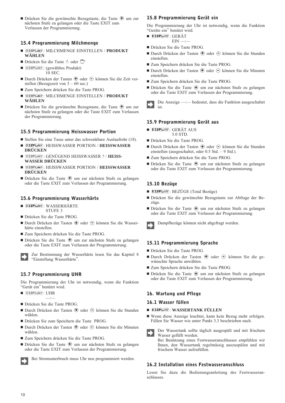■ Drücken Sie die gewünschte Bezugstaste, die Taste  $\oplus$  um zur nächsten Stufe zu gelangen oder die Taste EXIT zum Verlassen der Programmierung.

# 15.4 Programmierung Milchmenge

- **DISPLAY**: MILCHMENGE EINSTELLEN / **PRODUKT WÄHLEN**
- Drücken Sie die Taste ∆oder
- **DISPLAY**: (gewähltes Produkt) 10 SEC.
- Durch Drücken der Tasten ⊕ oder ⊖ können Sie die Zeit verstellen (Bezugszeit von 3 – 60 sec.)
- $\blacksquare$  Zum Speichern drücken Sie die Taste PROG.
- **DISPLAY**: MILCHMENGE EINSTELLEN / **PRODUKT WÄHLEN**
- Drücken Sie die gewünschte Bezugstaste, die Taste ⊕ um zur nächsten Stufe zu gelangen oder die Taste EXIT zum Verlassen der Programmierung.

# 15.5 Programmierung Heisswasser Portion

- Stellen Sie eine Tasse unter das schwenkbare Auslaufrohr (18).
- **DISPLAY: HEISSWASSER PORTION / HEISSWASSER DRÜCKEN**
- **DISPLAY**: GENÜGEND HEISSWASSER ? / **HEISS-WASSER DRÜCKEN**
- **DISPLAY: HEISSWASSER PORTION / HEISSWASSER DRÜCKEN**
- Drücken Sie die Taste ⊕ um zur nächsten Stufe zu gelangen oder die Taste EXIT zum Verlassen der Programmierung.

# 15.6 Programmierung Wasserhärte

- DISPL<del>A</del>V:WASSERHÄRTE STUFE 3
- Drücken Sie die Taste PROG.
- Durch Drücken der Tasten ⊕ oder ⊙ können Sie die Wasserhärte einstellen.
- $\blacksquare$  Zum Speichern drücken Sie die Taste PROG.
- Drücken Sie die Taste ⊕ um zur nächsten Stufe zu gelangen oder die Taste EXIT zum Verlassen der Programmierung.

Zur Bestimmung der Wasserhärte lesen Sie das Kapitel 8 "Einstellung Wasserhärte".

# 15.7 Programmierung UHR

Die Programmierung der Uhr ist notwendig, wenn die Funktion "Gerät ein" benützt wird.

- $\blacksquare$  display :  $UHR$ —:—
- Drücken Sie die Taste PROG.
- Durch Drücken der Tasten **+** oder ⊙ können Sie die Stunden wählen.
- Drücken Sie zum Speichern die Taste PROG.
- Durch Drücken der Tasten **⊕** oder ⊝ können Sie die Minuten wählen.
- Zum Speichern drücken Sie die Taste PROG.
- Drücken Sie die Taste ⊕ um zur nächsten Stufe zu gelangen oder die Taste EXIT zum Verlassen der Programmierung.



# **+** 15.8 Programmierung Gerät ein

Die Programmierung der Uhr ist notwendig, wenn die Funktion "Geräte ein" benützt wird.

- <sup>DISPLAY</sup>:GERÄT
	- $EIN$  —:-
- Drücken Sie die Taste PROG.
- Durch Drücken der Tasten **⊕** oder ⊝ können Sie die Stunden einstellen.
- Zum Speichern drücken Sie die Taste PROG.
- Durch Drücken der Tasten ⊕ oder ⊙ können Sie die Minuten einstellen.
- Zum Speichern drücken Sie die Taste PROG.
- Drücken Sie die Taste ⊕ um zur nächsten Stufe zu gelangen oder die Taste EXIT zum Verlassen der Programmierung.

Die Anzeige —:— bedeutet, dass die Funktion ausgeschaltet ist.

# 15.9 Programmierung Gerät aus

- DISPLAY: GERÄT AUS 5.0 STD.
- Drücken Sie die Taste PROG.
- Durch Drücken der Tasten **+** oder ⊙ können Sie die Stunden einstellen (ausgeschaltet, oder 0.5 Std. – 9 Std.).
- Zum Speichern drücken Sie die Taste PROG.
- Drücken Sie die Taste ⊕ um zur nächsten Stufe zu gelangen oder die Taste EXIT zum Verlassen der Programmierung.

# 15.10 Bezüge

- DISPLAY: BEZÜGE (Total Bezüge)
- Drücken Sie die gewünschte Bezugstaste zur Abfrage der Bezüge.
- Drücken Sie die Taste ⊕ um zur nächsten Stufe zu gelangen oder die Taste EXIT zum Verlassen der Programmierung.



Dampfbezüge können nicht abgefragt werden.

# 15.11 Programmierung Sprache

- Drücken Sie die Taste PROG.
- Durch Drücken der Tasten ⊕ oder ⊖ können Sie die gewünschte Sprache anwählen.
- Zum Speichern drücken Sie die Taste PROG.
- Drücken Sie die Taste ⊕ um zur nächsten Stufe zu gelangen oder die Taste EXIT zum Verlassen der Programmierung.

# 16. Wartung und Pflege

# 16.1 Wasser füllen

- **= display : WASSERTANK FÜLLEN**
- Wenn diese Anzeige leuchtet, kann kein Bezug mehr erfolgen. Füllen Sie Wasser wie unter Punkt 3.3 beschrieben nach.
- Der Wassertank sollte täglich ausgespült und mit frischem Wasser gefüllt werden.

Bei Benützung eines Festwasseranschlusses empfehlen wir Ihnen, den Wassertank regelmässig auszuspülen und mit frischem Wasser aufzufüllen.

# 16.2 Installation eines Festwasseranschluss

Lesen Sie dazu die Bedienungsanleitung des Festwasseranschlusses.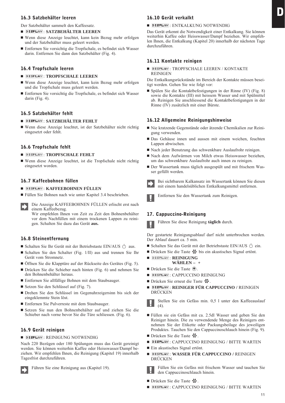# 16.3 Satzbehälter leeren

Der Satzbehälter sammelt den Kaffeesatz.

#### **= DISPLAY : SATZBEHÄLTER LEEREN**

- Wenn diese Anzeige leuchtet, kann kein Bezug mehr erfolgen und der Satzbehälter muss geleert werden.
- Entfernen Sie vorsichtig die Tropfschale, es befindet sich Wasser darin. Entfernen Sie dann den Satzbehälter (Fig. 4).

#### 16.4 Tropfschale leeren

#### **u** DISPLAY: TROPFSCHALE LEEREN

- Wenn diese Anzeige leuchtet, kann kein Bezug mehr erfolgen und die Tropfschale muss geleert werden.
- Entfernen Sie vorsichtig die Tropfschale, es befindet sich Wasser darin (Fig. 4).

# 16.5 Satzbehälter fehlt

#### **= DISPLAY: SATZBEHÄLTER FEHLT**

- Wenn diese Anzeige leuchtet, ist der Satzbehälter nicht richtig eingesetzt oder fehlt.

#### 16.6 Tropfschale fehlt

#### **u** DISPLAY: TROPFSCHALE FEHLT

- Wenn diese Anzeige leuchtet, ist die Tropfschale nicht richtig eingesetzt worden.

#### 16.7 Kaffeebohnen füllen

#### **= display : KAFFEEBOHNEN FÜLLEN**

■ Füllen Sie Bohnen nach wie unter Kapitel 3.4 beschrieben.

Die Anzeige KAFFEEBOHNEN FÜLLEN erlischt erst nach einem Kaffeebezug.

Wir empfehlen Ihnen von Zeit zu Zeit den Bohnenbehälter vor dem Nachfüllen mit einem trockenen Lappen zu reinigen. Schalten Sie dazu das Gerät **aus.**

# 16.8 Steinentfernung

- Schalten Sie Ihr Gerät mit der Betriebstaste EIN/AUS  $\Diamond$  aus.
- Schalten Sie den Schalter (Fig. 1/II) aus und trennen Sie Ihr Gerät vom Stromnetz.
- Öffnen Sie die Klapptüre auf der Rückseite des Gerätes (Fig. 5).
- Drücken Sie die Schieber nach hinten (Fig. 6) und nehmen Sie den Bohnenbehälter heraus.
- Entfernen Sie allfällige Bohnen mit dem Staubsauger.
- Setzen Sie den Schlüssel auf (Fig. 7).
- Drehen Sie den Schlüssel im Gegenuhrzeigersinn bis sich der eingeklemmte Stein löst.
- Entfernen Sie Pulverreste mit dem Staubsauger.
- Setzen Sie nun den Bohnenbehälter auf und ziehen Sie die Schieber nach vorne bevor Sie die Türe schliessen. (Fig. 6).

#### 16.9 Gerät reinigen

#### $\blacksquare$  display  $\vdots$  REINIGUNG NOTWENDIG

Nach 220 Bezügen oder 180 Spülungen muss das Gerät gereinigt werden. Sie können weiterhin Kaffee oder Heisswasser/Dampf beziehen. Wir empfehlen Ihnen, die Reinigung (Kapitel 19) innerhalb Tagesfrist durchzuführen.

#### Führen Sie eine Reinigung aus (Kapitel 19).

# 16.10 Gerät verkalkt

#### **DISPLAY** : ENTKALKUNG NOTWENDIG

Das Gerät erkennt die Notwendigkeit einer Entkalkung. Sie können weiterhin Kaffee oder Heisswasser/Dampf beziehen. Wir empfehlen Ihnen, die Entkalkung (Kapitel 20) innerhalb der nächsten Tage durchzuführen.

# 16.11 Kontakte reinigen

**DISPLAY: TROPFSCHALE LEEREN / KONTAKTE** REINIGEN

Die Entkalkungsrückstände im Bereich der Kontakte müssen beseitigt werden. Gehen Sie wie folgt vor:

- Spülen Sie die Kontaktbefestigungen in der Rinne (IV) (Fig. 8) sowie die Kontakte (III) mit heissem Wasser und mit Spülmittel ab. Reinigen Sie anschliessend die Kontaktbefestigungen in der Rinne (IV) zusätzlich mit einer Bürste.

#### 16.12 Allgemeine Reinigungshinweise

- Nie kratzende Gegenstände oder ätzende Chemikalien zur Reinigung verwenden.
- Das Gehäuse innen und aussen mit einem weichen, feuchten Lappen abwischen.
- Nach jeder Benutzung das schwenkbare Auslaufrohr reinigen.
- Nach dem Aufwärmen von Milch etwas Heisswasser beziehen, um das schwenkbare Auslaufrohr auch innen zu reinigen.
- Der Wassertank muss täglich ausgespült und mit frischem Wasser gefüllt werden.
- Bei sichtbarem Kalkansatz im Wassertank können Sie diesen mit einem handelsüblichen Entkalkungsmittel entfernen.



Entfernen Sie den Wassertank zum Reinigen.

#### 17. Cappuccino-Reinigung

Führen Sie diese Reinigung **täglich** durch.

Der gestartete Reinigungsablauf darf nicht unterbrochen werden. Der Ablauf dauert ca. 5 min.

- Schalten Sie das Gerät mit der Betriebstaste EIN/AUS  $\circlearrowright$  ein.
- Drücken Sie die Taste  $\mathcal{R}$  bis ein akustisches Signal ertönt.
- $\blacksquare$  display : reinigung **WÄHLEN – +**
- Drücken Sie die Taste **⊕**.
- $\blacksquare$  display : CAPPUCCINO REINIGUNG
- Drücken Sie erneut die Taste  $\mathcal{R}$ .
- **u display : REINIGER FÜR CAPPUCCINO /** REINIGEN DRÜCKEN

Stellen Sie ein Gefäss min. 0,5 l unter den Kaffeeauslauf (4).

- Füllen sie ein Gefäss mit ca. 2.5dl Wasser und geben Sie den Reiniger hinein. Die zu verwendende Menge des Reinigers entnehmen Sie der Etikette oder Packungsbeilage des jeweiligen Produktes. Tauchen Sie den Cappuccinoschlauch hinein (Fig. 9).
- Drücken Sie die Taste
- **DISPLAY: CAPPUCCINO REINIGUNG / BITTE WARTEN**
- Ein akustisches Signal ertönt.
- **E** DISPLAY : WASSER FÜR CAPPUCCINO / REINIGEN DRÜCKEN

Füllen Sie ein Gefäss mit frischem Wasser und tauchen Sie den Cappuccinoschlauch hinein.

- Drücken Sie die Taste
- **DISPLAY: CAPPUCCINO REINIGUNG / BITTE WARTEN**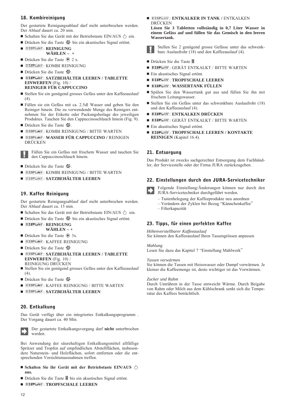# 18. Kombireinigung

Der gestartete Reinigungsablauf darf nicht unterbrochen werden. Der Ablauf dauert ca. 20 min.

- Schalten Sie das Gerät mit der Betriebstaste EIN/AUS  $\circlearrowright$  ein.
- Drücken Sie die Taste  $\mathcal{R}$  bis ein akustisches Signal ertönt.
- $\blacksquare$  Display : Reinigung

# **WÄHLEN – +**

- Drücken Sie die Taste ⊕ 2 x.
- $\blacksquare$  display : KOMBI REINIGUNG
- Drücken Sie die Taste
- - : **SATZBEHÄLTER LEEREN / TABLETTE EINWERFEN** (Fig. 10) / **REINIGER FÜR CAPPUCCINO**
- Stellen Sie ein genügend grosses Gefäss unter den Kaffeeauslauf  $(4)$
- Füllen sie ein Gefäss mit ca. 2.5dl Wasser und geben Sie den Reiniger hinein. Die zu verwendende Menge des Reinigers entnehmen Sie der Etikette oder Packungsbeilage des jeweiligen Produktes. Tauchen Sie den Cappuccinoschlauch hinein (Fig. 9).
- Drücken Sie die Taste
- **DISPLAY: KOMBI REINIGUNG / BITTE WARTEN**
- **u display : WASSER FÜR CAPPUCCINO /** REINIGEN DRÜCKEN

Füllen Sie ein Gefäss mit frischem Wasser und tauchen Sie den Cappuccinoschlauch hinein.

- Drücken Sie die Taste
- **DISPLAY: KOMBI REINIGUNG / BITTE WARTEN**
- **= DISPLAY: SATZBEHÄLTER LEEREN**

# 19. Kaffee Reinigung

Der gestartete Reinigungsablauf darf nicht unterbrochen werden. Der Ablauf dauert ca. 15 min.

- Schalten Sie das Gerät mit der Betriebstaste EIN/AUS  $\circlearrowright$  ein.
- Drücken Sie die Taste  $\mathbb{R}$  bis ein akustisches Signal ertönt.
- $\blacksquare$  display : reinigung **WÄHLEN – +**
- Drücken Sie die Taste ⊕ 3x.
- $\blacksquare$  display : Kaffee Reinigung
- Drücken Sie die Taste
- **E** DISPLAY: SATZBEHÄLTER LEEREN / TABLETTE **EINWERFEN** (Fig. 10) / REINIGUNG DRÜCKEN
- Stellen Sie ein genügend grosses Gefäss unter den Kaffeeauslauf  $(4)$
- Drücken Sie die Taste
- **DISPLAY**: KAFFEE REINIGUNG / BITTE WARTEN
- -: **SATZBEHÄLTER LEEREN**

# 20. Entkalkung

Das Gerät verfügt über ein integriertes Entkalkungsprogramm . Der Vorgang dauert ca. 40 Min.



Der gestartete Entkalkungsvorgang darf **nicht** unterbrochen werden.

Bei Anwendung der säurehaltigen Entkalkungsmittel allfällige Spritzer und Tropfen auf empfindlichen Abstellflächen, insbesondere Naturstein- und Holzflächen, sofort entfernen oder die entsprechenden Vorsichtsmassnahmen treffen.

- **Schalten Sie ihr Gerät mit der Betriebstaste EIN/AUS aus.**
- Drücken Sie die Taste *I*I bis ein akustisches Signal ertönt.
- -: **TROPFSCHALE LEEREN**

**External Find Starting In Tank / ENTKALKEN** DRÜCKEN

**Lösen Sie 3 Tabletten vollständig in 0,7 Liter Wasser in einem Gefäss auf und füllen Sie das Gemisch in den leeren Wassertank.**

- Stellen Sie 2 genügend grosse Gefässe unter das schwenkbare Auslaufrohr (18) und den Kaffeeauslauf (4).
- Drücken Sie die Taste
- -: GERÄT ENTKALKT / BITTE WARTEN
- Ein akustisches Signal ertönt.
- **u** display: TROPFSCHALE LEEREN
- -: **WASSERTANK FÜLLEN**
- Spülen Sie den Wassertank gut aus und füllen Sie ihn mit frischem Leitungswasser.
- Stellen Sie ein Gefäss unter das schwenkbare Auslaufrohr (18) und den Kaffeeauslauf (4).
- $\blacksquare$  display : ENTKALKEN DRÜCKEN
- DISPLAY : GERÄT ENTKALKT / BITTE WARTEN
- Ein akustisches Signal ertönt.
- **DISPLAY: TROPFSCHALE LEEREN / KONTAKTE REINIGEN** (Kapitel 16.4).

# 21. Entsorgung

Das Produkt ist zwecks sachgerechter Entsorgung dem Fachhändler, der Servicestelle oder der Firma JURA zurückzugeben.

# 22. Einstellungen durch den JURA-Servicetechniker



Folgende Einstellung/Änderungen können nur durch den JURA-Servicetechniker durchgeführt werden.

- Tastenbelegung der Kaffeeprodukte neu anordnen
- Verändern der Zyklen bei Bezug "Kännchenkaffee"
- Filterkapazität

# 23. Tipps, für einen perfekten Kaffee

*Höhenverstellbarer Kaffeeauslauf* Sie können den Kaffeeauslauf Ihren Tassengrössen anpassen

*Mahlung*

Lesen Sie dazu das Kapitel 7 "Einstellung Mahlwerk"

#### *Tassen vorwärmen*

Sie können die Tassen mit Heisswasser oder Dampf vorwärmen. Je kleiner die Kaffeemenge ist, desto wichtiger ist das Vorwärmen.

#### *Zucker und Rahm*

Durch Umrühren in der Tasse entweicht Wärme. Durch Beigabe von Rahm oder Milch aus dem Kühlschrank senkt sich die Temperatur des Kaffees beträchtlich.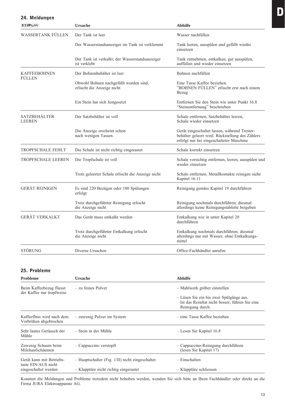| 24. Meldungen                        |                                                                      |                                                                                                                                             |
|--------------------------------------|----------------------------------------------------------------------|---------------------------------------------------------------------------------------------------------------------------------------------|
| DISPLAY                              | <b>Ursache</b>                                                       | <b>Abhilfe</b>                                                                                                                              |
| WASSERTANK FÜLLEN                    | Der Tank ist leer                                                    | Wasser nachfüllen                                                                                                                           |
|                                      | Der Wasserstandsanzeiger im Tank ist verklemmt                       | Tank leeren, ausspülen und gefüllt wieder<br>einsetzen                                                                                      |
|                                      | Der Tank ist verkalkt; der Wasserstandsanzeiger<br>ist verklebt      | Tank entnehmen, entkalken, gut ausspülen,<br>auffüllen und wieder einsetzen                                                                 |
| <b>KAFFEEBOHNEN</b><br>FULLEN        | Der Bohnenbehälter ist leer                                          | Bohnen nachfüllen                                                                                                                           |
|                                      | Obwohl Bohnen nachgefüllt worden sind,<br>erlischt die Anzeige nicht | Eine Tasse Kaffee beziehen.<br>"BOHNEN FÜLLEN" erlischt erst nach einem<br>Bezug                                                            |
|                                      | Ein Stein hat sich festgesetzt                                       | Entfernen Sie den Stein wie unter Punkt 16.8<br>"Steinentfernung" beschrieben                                                               |
| <b>SATZBEHÄLTER</b><br><b>LEEREN</b> | Der Satzbehälter ist voll                                            | Schale entfernen, Satzbehälter leeren,<br>Schale wieder einsetzen                                                                           |
|                                      | Die Anzeige erscheint schon<br>nach wenigen Tassen                   | Gerät eingeschaltet lassen, während Trester-<br>behälter geleert wird. Rückstellung des Zählers<br>erfolgt nur bei eingeschalteter Maschine |
| <b>TROPFSCHALE FEHLT</b>             | Die Schale ist nicht richtig eingerastet                             | Schale korrekt einsetzen                                                                                                                    |
| TROPFSCHALE LEEREN                   | Die Tropfschale ist voll                                             | Schale vorsichtig entfernen, leeren, ausspülen und<br>wieder einsetzen                                                                      |
|                                      | Trotz geleerter Schale erlischt die Anzeige nicht                    | Schale entfernen, Metallkontakte reinigen siehe<br>Kapitel 16.11                                                                            |
| <b>GERÄT REINIGEN</b>                | Es sind 220 Bezügen oder 180 Spülungen<br>erfolgt                    | Reinigung gemäss Kapitel 19 durchführen                                                                                                     |
|                                      | Trotz durchgeführter Reinigung erlischt<br>die Anzeige nicht         | Reinigung nochmals durchführen; diesmal<br>allerdings keine Reinigungstablette beigeben                                                     |
| <b>GERÄT VERKALKT</b>                | Das Gerät muss entkalkt werden                                       | Entkalkung wie in unter Kapitel 20<br>durchführen                                                                                           |
|                                      | Trotz durchgeführter Entkalkung erlischt<br>die Anzeige nicht        | Entkalkung nochmals durchführen; diesmal<br>allerdings nur mit Wasser, ohne Entkalkungs-<br>mittel                                          |
| STÖRUNG                              | Diverse Ursachen                                                     | Office-Fachhändler anrufen                                                                                                                  |

# 25. Probleme

| <b>Probleme</b>                                       | Ursache                                         | <b>Abhilfe</b>                                                                                                |
|-------------------------------------------------------|-------------------------------------------------|---------------------------------------------------------------------------------------------------------------|
| Beim Kaffeebezug fliesst<br>der Kaffee nur tropfweise | - zu feines Pulver                              | - Mahlwerk gröber einstellen                                                                                  |
|                                                       |                                                 | - Lösen Sie ein bis zwei Spülgänge aus.<br>Ist das Resultat nicht besser, führen Sie eine<br>Reinigung durch. |
| Kaffeefluss wird nach dem<br>Vorbrühen abgebrochen    | - zuwenig Pulver im System                      | – eine Tasse Kaffee beziehen                                                                                  |
| Sehr lautes Geräusch der<br>Mühle                     | – Stein in der Mühle                            | - Lesen Sie Kapitel 16.8                                                                                      |
| Zuwenig Schaum beim<br>Milchaufschäumen               | $-$ Cappuccino verstopft                        | - Cappuccino-Reinigung durchführen<br>(lesen Sie Kapitel 17)                                                  |
| Gerät kann mit Betriebs-<br>taste EIN/AUS nicht       | - Hauptschalter (Fig. 1/II) nicht eingeschaltet | - Einschalten                                                                                                 |
| eingeschaltet werden                                  | - Klapptüre nicht richtig eingerastet           | - Klapptüre schliessen                                                                                        |

Konnten die Meldungen und Probleme trotzdem nicht behoben werden, wenden Sie sich bitte an Ihren Fachhändler oder direkt an die Firma JURA Elektroapparate AG.

D